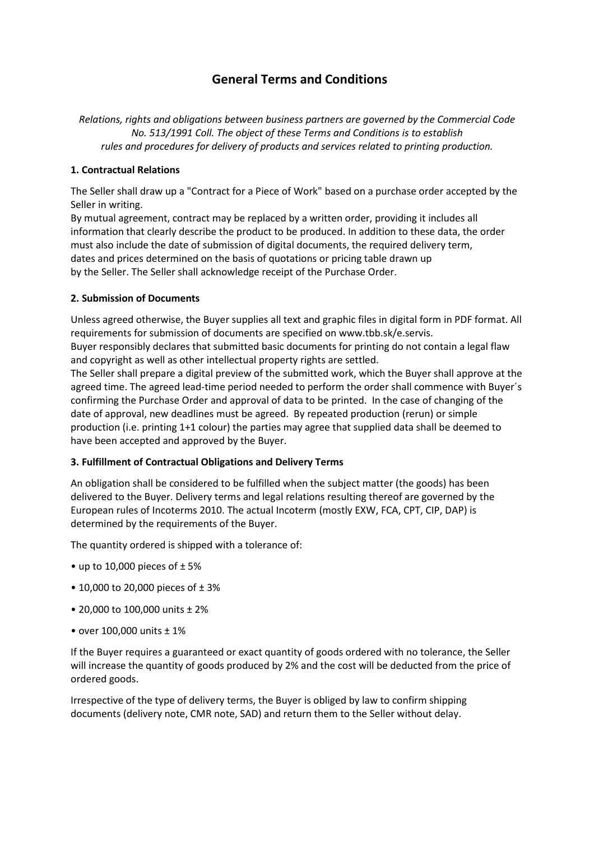# **General Terms and Conditions**

*Relations, rights and obligations between business partners are governed by the Commercial Code No. 513/1991 Coll. The object of these Terms and Conditions is to establish rules and procedures for delivery of products and services related to printing production.* 

## **1. Contractual Relations**

The Seller shall draw up a "Contract for a Piece of Work" based on a purchase order accepted by the Seller in writing.

By mutual agreement, contract may be replaced by a written order, providing it includes all information that clearly describe the product to be produced. In addition to these data, the order must also include the date of submission of digital documents, the required delivery term, dates and prices determined on the basis of quotations or pricing table drawn up by the Seller. The Seller shall acknowledge receipt of the Purchase Order.

## **2. Submission of Documents**

Unless agreed otherwise, the Buyer supplies all text and graphic files in digital form in PDF format. All requirements for submission of documents are specified on www.tbb.sk/e.servis.

Buyer responsibly declares that submitted basic documents for printing do not contain a legal flaw and copyright as well as other intellectual property rights are settled.

The Seller shall prepare a digital preview of the submitted work, which the Buyer shall approve at the agreed time. The agreed lead-time period needed to perform the order shall commence with Buyer´s confirming the Purchase Order and approval of data to be printed. In the case of changing of the date of approval, new deadlines must be agreed. By repeated production (rerun) or simple production (i.e. printing 1+1 colour) the parties may agree that supplied data shall be deemed to have been accepted and approved by the Buyer.

## **3. Fulfillment of Contractual Obligations and Delivery Terms**

An obligation shall be considered to be fulfilled when the subject matter (the goods) has been delivered to the Buyer. Delivery terms and legal relations resulting thereof are governed by the European rules of Incoterms 2010. The actual Incoterm (mostly EXW, FCA, CPT, CIP, DAP) is determined by the requirements of the Buyer.

The quantity ordered is shipped with a tolerance of:

- up to 10,000 pieces of  $\pm$  5%
- 10,000 to 20,000 pieces of ± 3%
- 20,000 to 100,000 units ± 2%
- over 100,000 units ± 1%

If the Buyer requires a guaranteed or exact quantity of goods ordered with no tolerance, the Seller will increase the quantity of goods produced by 2% and the cost will be deducted from the price of ordered goods.

Irrespective of the type of delivery terms, the Buyer is obliged by law to confirm shipping documents (delivery note, CMR note, SAD) and return them to the Seller without delay.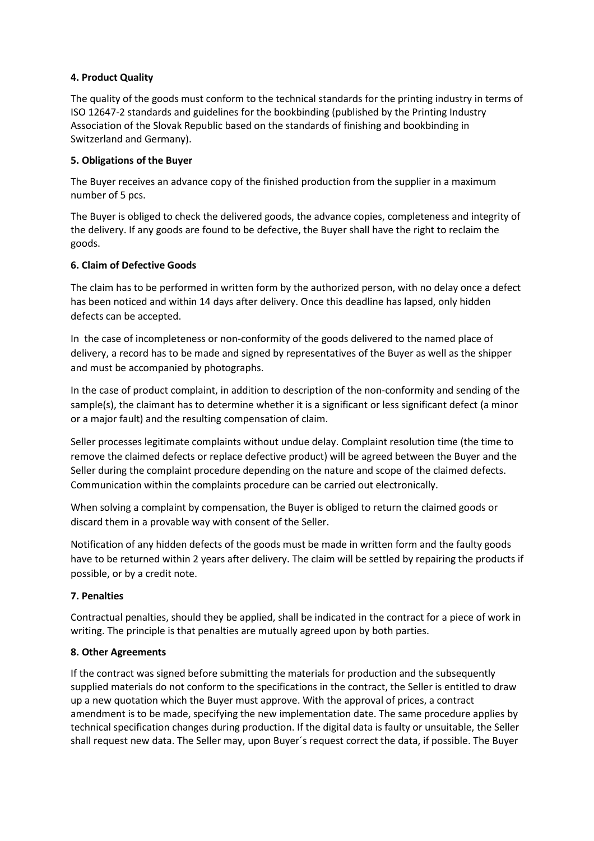## **4. Product Quality**

The quality of the goods must conform to the technical standards for the printing industry in terms of ISO 12647-2 standards and guidelines for the bookbinding (published by the Printing Industry Association of the Slovak Republic based on the standards of finishing and bookbinding in Switzerland and Germany).

### **5. Obligations of the Buyer**

The Buyer receives an advance copy of the finished production from the supplier in a maximum number of 5 pcs.

The Buyer is obliged to check the delivered goods, the advance copies, completeness and integrity of the delivery. If any goods are found to be defective, the Buyer shall have the right to reclaim the goods.

### **6. Claim of Defective Goods**

The claim has to be performed in written form by the authorized person, with no delay once a defect has been noticed and within 14 days after delivery. Once this deadline has lapsed, only hidden defects can be accepted.

In the case of incompleteness or non-conformity of the goods delivered to the named place of delivery, a record has to be made and signed by representatives of the Buyer as well as the shipper and must be accompanied by photographs.

In the case of product complaint, in addition to description of the non-conformity and sending of the sample(s), the claimant has to determine whether it is a significant or less significant defect (a minor or a major fault) and the resulting compensation of claim.

Seller processes legitimate complaints without undue delay. Complaint resolution time (the time to remove the claimed defects or replace defective product) will be agreed between the Buyer and the Seller during the complaint procedure depending on the nature and scope of the claimed defects. Communication within the complaints procedure can be carried out electronically.

When solving a complaint by compensation, the Buyer is obliged to return the claimed goods or discard them in a provable way with consent of the Seller.

Notification of any hidden defects of the goods must be made in written form and the faulty goods have to be returned within 2 years after delivery. The claim will be settled by repairing the products if possible, or by a credit note.

## **7. Penalties**

Contractual penalties, should they be applied, shall be indicated in the contract for a piece of work in writing. The principle is that penalties are mutually agreed upon by both parties.

#### **8. Other Agreements**

If the contract was signed before submitting the materials for production and the subsequently supplied materials do not conform to the specifications in the contract, the Seller is entitled to draw up a new quotation which the Buyer must approve. With the approval of prices, a contract amendment is to be made, specifying the new implementation date. The same procedure applies by technical specification changes during production. If the digital data is faulty or unsuitable, the Seller shall request new data. The Seller may, upon Buyer´s request correct the data, if possible. The Buyer